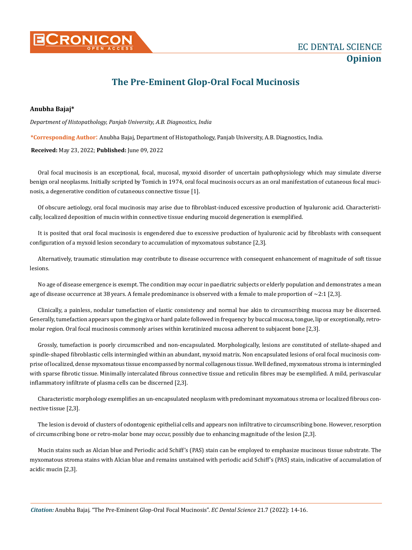

## **The Pre-Eminent Glop-Oral Focal Mucinosis**

## **Anubha Bajaj\***

*Department of Histopathology, Panjab University, A.B. Diagnostics, India*

**\*Corresponding Author**: Anubha Bajaj, Department of Histopathology, Panjab University, A.B. Diagnostics, India.

**Received:** May 23, 2022; **Published:** June 09, 2022

Oral focal mucinosis is an exceptional, focal, mucosal, myxoid disorder of uncertain pathophysiology which may simulate diverse benign oral neoplasms. Initially scripted by Tomich in 1974, oral focal mucinosis occurs as an oral manifestation of cutaneous focal mucinosis, a degenerative condition of cutaneous connective tissue [1].

Of obscure aetiology, oral focal mucinosis may arise due to fibroblast-induced excessive production of hyaluronic acid. Characteristically, localized deposition of mucin within connective tissue enduring mucoid degeneration is exemplified.

It is posited that oral focal mucinosis is engendered due to excessive production of hyaluronic acid by fibroblasts with consequent configuration of a myxoid lesion secondary to accumulation of myxomatous substance [2,3].

Alternatively, traumatic stimulation may contribute to disease occurrence with consequent enhancement of magnitude of soft tissue lesions.

No age of disease emergence is exempt. The condition may occur in paediatric subjects or elderly population and demonstrates a mean age of disease occurrence at 38 years. A female predominance is observed with a female to male proportion of  $\sim$ 2:1 [2,3].

Clinically, a painless, nodular tumefaction of elastic consistency and normal hue akin to circumscribing mucosa may be discerned. Generally, tumefaction appears upon the gingiva or hard palate followed in frequency by buccal mucosa, tongue, lip or exceptionally, retromolar region. Oral focal mucinosis commonly arises within keratinized mucosa adherent to subjacent bone [2,3].

Grossly, tumefaction is poorly circumscribed and non-encapsulated. Morphologically, lesions are constituted of stellate-shaped and spindle-shaped fibroblastic cells intermingled within an abundant, myxoid matrix. Non encapsulated lesions of oral focal mucinosis comprise of localized, dense myxomatous tissue encompassed by normal collagenous tissue. Well defined, myxomatous stroma is intermingled with sparse fibrotic tissue. Minimally intercalated fibrous connective tissue and reticulin fibres may be exemplified. A mild, perivascular inflammatory infiltrate of plasma cells can be discerned [2,3].

Characteristic morphology exemplifies an un-encapsulated neoplasm with predominant myxomatous stroma or localized fibrous connective tissue [2,3].

The lesion is devoid of clusters of odontogenic epithelial cells and appears non infiltrative to circumscribing bone. However, resorption of circumscribing bone or retro-molar bone may occur, possibly due to enhancing magnitude of the lesion [2,3].

Mucin stains such as Alcian blue and Periodic acid Schiff's (PAS) stain can be employed to emphasize mucinous tissue substrate. The myxomatous stroma stains with Alcian blue and remains unstained with periodic acid Schiff's (PAS) stain, indicative of accumulation of acidic mucin [2,3].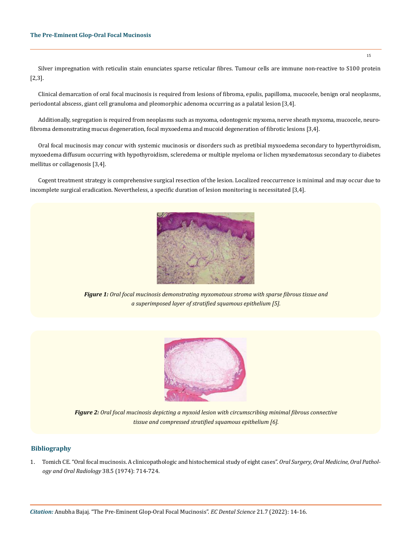Silver impregnation with reticulin stain enunciates sparse reticular fibres. Tumour cells are immune non-reactive to S100 protein [2,3].

Clinical demarcation of oral focal mucinosis is required from lesions of fibroma, epulis, papilloma, mucocele, benign oral neoplasms, periodontal abscess, giant cell granuloma and pleomorphic adenoma occurring as a palatal lesion [3,4].

Additionally, segregation is required from neoplasms such as myxoma, odontogenic myxoma, nerve sheath myxoma, mucocele, neurofibroma demonstrating mucus degeneration, focal myxoedema and mucoid degeneration of fibrotic lesions [3,4].

Oral focal mucinosis may concur with systemic mucinosis or disorders such as pretibial myxoedema secondary to hyperthyroidism, myxoedema diffusum occurring with hypothyroidism, scleredema or multiple myeloma or lichen myxedematosus secondary to diabetes mellitus or collagenosis [3,4].

Cogent treatment strategy is comprehensive surgical resection of the lesion. Localized reoccurrence is minimal and may occur due to incomplete surgical eradication. Nevertheless, a specific duration of lesion monitoring is necessitated [3,4].



*Figure 1: Oral focal mucinosis demonstrating myxomatous stroma with sparse fibrous tissue and a superimposed layer of stratified squamous epithelium [5].*



*Figure 2: Oral focal mucinosis depicting a myxoid lesion with circumscribing minimal fibrous connective tissue and compressed stratified squamous epithelium [6].*

## **Bibliography**

1. [Tomich CE. "Oral focal mucinosis. A clinicopathologic and histochemical study of eight cases".](https://pubmed.ncbi.nlm.nih.gov/4140487/) *Oral Surgery, Oral Medicine, Oral Pathol[ogy and Oral Radiology](https://pubmed.ncbi.nlm.nih.gov/4140487/)* 38.5 (1974): 714-724.

15